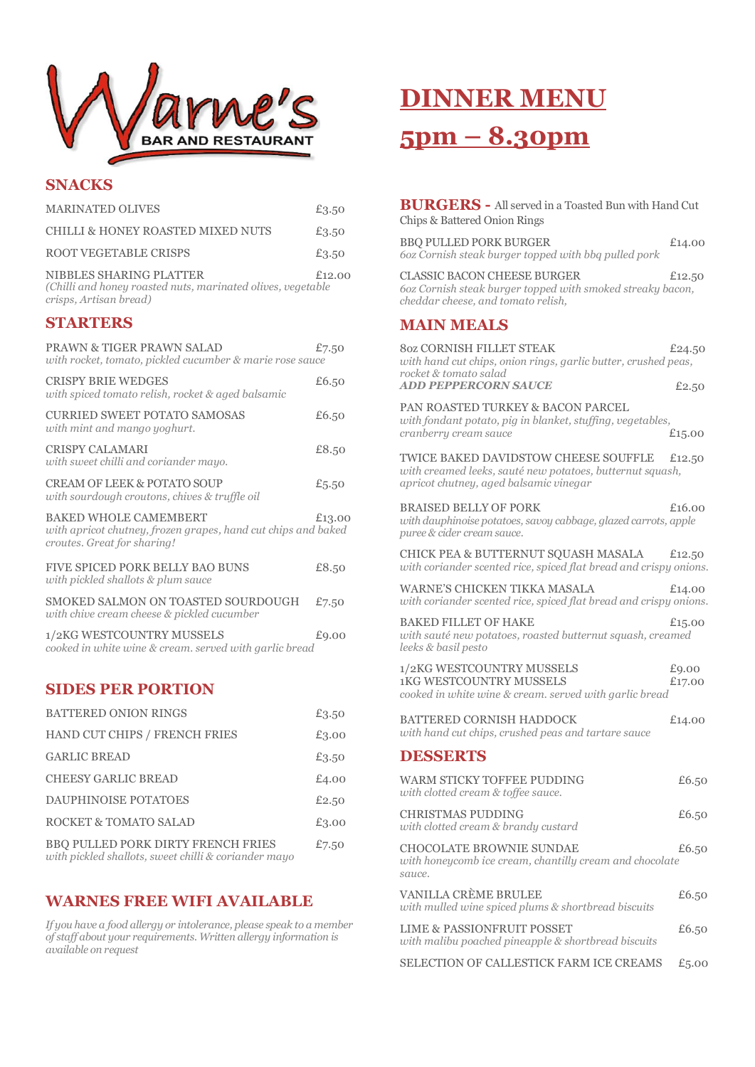

### **SNACKS**

| <b>MARINATED OLIVES</b>                                                                                                      | £3.50    |
|------------------------------------------------------------------------------------------------------------------------------|----------|
| CHILLI & HONEY ROASTED MIXED NUTS                                                                                            | £3.50    |
| ROOT VEGETABLE CRISPS                                                                                                        | £3.50    |
| NIBBLES SHARING PLATTER<br>(Chilli and honey roasted nuts, marinated olives, vegetable<br>crisps, Artisan bread)             | £12,00   |
| <b>STARTERS</b>                                                                                                              |          |
| <b>PRAWN &amp; TIGER PRAWN SALAD</b><br>with rocket, tomato, pickled cucumber & marie rose sauce                             | £7.50    |
| <b>CRISPY BRIE WEDGES</b><br>with spiced tomato relish, rocket & aged balsamic                                               | £6.50    |
| <b>CURRIED SWEET POTATO SAMOSAS</b><br>with mint and mango yoghurt.                                                          | £6.50    |
| <b>CRISPY CALAMARI</b><br>with sweet chilli and coriander mayo.                                                              | £8.50    |
| <b>CREAM OF LEEK &amp; POTATO SOUP</b><br>with sourdough croutons, chives & truffle oil                                      | £5.50    |
| <b>BAKED WHOLE CAMEMBERT</b><br>with apricot chutney, frozen grapes, hand cut chips and baked<br>croutes. Great for sharing! | £13.00   |
| FIVE SPICED PORK BELLY BAO BUNS<br>with pickled shallots & plum sauce                                                        | £8.50    |
| SMOKED SALMON ON TOASTED SOURDOUGH<br>with chive cream cheese & pickled cucumber                                             | £7.50    |
| 1/2KG WESTCOUNTRY MUSSELS<br>cooked in white wine & cream. served with garlic bread                                          | £9.00    |
| <b>SIDES PER PORTION</b>                                                                                                     |          |
| $\Lambda$ מית הארות המידידות המידידות ה                                                                                      | $0a = a$ |

| <b>BATTERED ONION RINGS</b>                                                                       | £3.50 |
|---------------------------------------------------------------------------------------------------|-------|
| HAND CUT CHIPS / FRENCH FRIES                                                                     | £3.00 |
| <b>GARLIC BREAD</b>                                                                               | £3.50 |
| <b>CHEESY GARLIC BREAD</b>                                                                        | £4.00 |
| <b>DAUPHINOISE POTATOES</b>                                                                       | £2.50 |
| ROCKET & TOMATO SALAD                                                                             | £3.00 |
| <b>BBQ PULLED PORK DIRTY FRENCH FRIES</b><br>with pickled shallots, sweet chilli & coriander mayo | £7.50 |

### **WARNES FREE WIFI AVAILABLE**

*If you have a food allergy or intolerance, please speak to a member of staff about your requirements. Written allergy information is available on request*

## **DINNER MENU 5pm – 8.30pm**

| <b>BURGERS</b> - All served in a Toasted Bun with Hand Cut<br>Chips & Battered Onion Rings                                                  |                 |
|---------------------------------------------------------------------------------------------------------------------------------------------|-----------------|
| <b>BBO PULLED PORK BURGER</b><br>60z Cornish steak burger topped with bbq pulled pork                                                       | £14.00          |
| <b>CLASSIC BACON CHEESE BURGER</b><br>60z Cornish steak burger topped with smoked streaky bacon,<br>cheddar cheese, and tomato relish,      | £12.50          |
| <b>MAIN MEALS</b>                                                                                                                           |                 |
| <b>80Z CORNISH FILLET STEAK</b><br>with hand cut chips, onion rings, garlic butter, crushed peas,<br>rocket & tomato salad                  | £24.50          |
| <b>ADD PEPPERCORN SAUCE</b>                                                                                                                 | £2.50           |
| PAN ROASTED TURKEY & BACON PARCEL<br>with fondant potato, pig in blanket, stuffing, vegetables,<br>cranberry cream sauce                    | £15.00          |
| TWICE BAKED DAVIDSTOW CHEESE SOUFFLE<br>with creamed leeks, sauté new potatoes, butternut squash,<br>apricot chutney, aged balsamic vinegar | £12.50          |
| <b>BRAISED BELLY OF PORK</b><br>with dauphinoise potatoes, savoy cabbage, glazed carrots, apple<br>puree & cider cream sauce.               | £16.00          |
| CHICK PEA & BUTTERNUT SQUASH MASALA<br>with coriander scented rice, spiced flat bread and crispy onions.                                    | £12.50          |
| <b>WARNE'S CHICKEN TIKKA MASALA</b><br>with coriander scented rice, spiced flat bread and crispy onions.                                    | £14.00          |
| <b>BAKED FILLET OF HAKE</b><br>with sauté new potatoes, roasted butternut squash, creamed<br>leeks & basil pesto                            | £15.00          |
| 1/2KG WESTCOUNTRY MUSSELS<br><b>1KG WESTCOUNTRY MUSSELS</b><br>cooked in white wine & cream. served with garlic bread                       | £9.00<br>£17.00 |
| <b>BATTERED CORNISH HADDOCK</b><br>with hand cut chips, crushed peas and tartare sauce                                                      | £14.00          |
| <b>DESSERTS</b>                                                                                                                             |                 |
| WARM STICKY TOFFEE PUDDING<br>with clotted cream & toffee sauce.                                                                            | £6.50           |
| <b>CHRISTMAS PUDDING</b><br>with clotted cream & brandy custard                                                                             | £6.50           |
| <b>CHOCOLATE BROWNIE SUNDAE</b><br>with honeycomb ice cream, chantilly cream and chocolate<br>sauce.                                        | £6.50           |
| VANILLA CRÈME BRULEE<br>with mulled wine spiced plums & shortbread biscuits                                                                 | £6.50           |
| LIME & PASSIONFRUIT POSSET<br>with malibu poached pineapple & shortbread biscuits                                                           | £6.50           |
| SELECTION OF CALLESTICK FARM ICE CREAMS                                                                                                     | £5.00           |